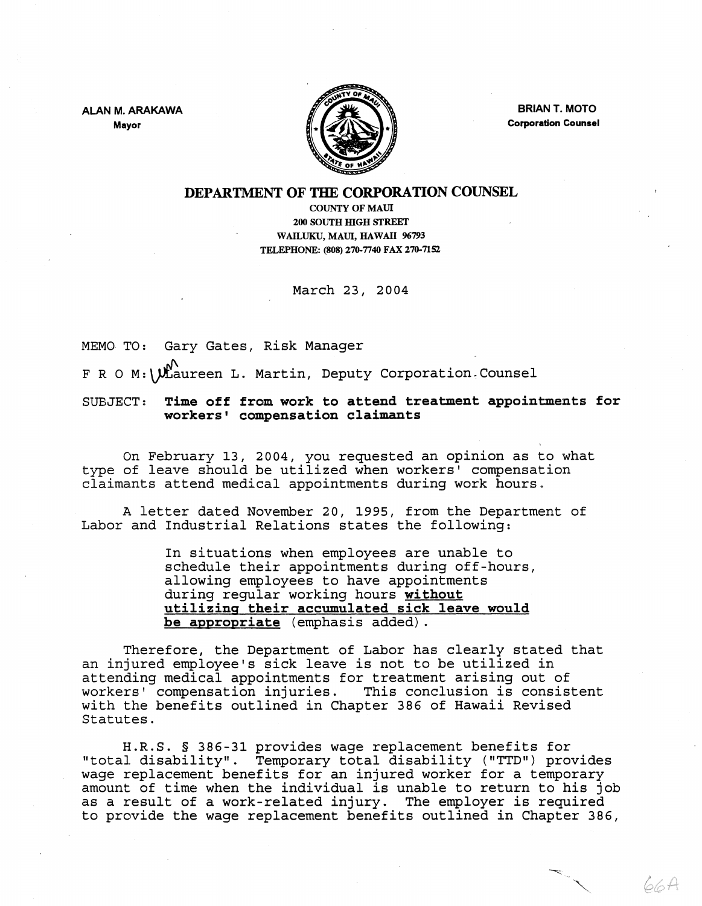ALAN M. ARAKAWA Mayor



BRIAN T. MOTO Corporation Counsel

66A

## DEPARTMENT OF THE CORPORATION COUNSEL

COUNTY OF MAUl 200 SOUTH mGH STREET WAILUKU, MAUl, HAWAII 96793 TELEPHONE: (808) 270·7740 FAX 270-7152

March 23, 2004

MEMO TO: Gary Gates, Risk Manager

F R O M:  $\bigvee_{k=1}^{\infty}$  Martin, Deputy Corporation. Counsel

SUBJECT: Time off from work to attend treatment appointments for workers' compensation claimants

On February 13, 2004, you requested an opinion as to what type of leave should be utilized when workers' compensation claimants attend medical appointments during work hours.

A letter dated November 20, 1995, from the Department of Labor and Industrial Relations states the following:

> In situations when employees are unable to schedule their appointments during off-hours, allowing employees to have appointments during regular working hours without utilizing their accumulated sick leave would be appropriate (emphasis added).

Therefore, the Department of Labor has clearly stated that an injured employee's sick leave is not to be utilized in attending medical appointments for treatment arising out of<br>workers' compensation injuries. This conclusion is consistent workers' compensation injuries. with the benefits outlined in Chapter 386 of Hawaii Revised Statutes.

H.R.S. § 386-31 provides wage replacement benefits for "total disability". Temporary total disability ("TTD") provides wage replacement benefits for an injured worker for a temporary amount of time when the individual is unable to return to his job as a result of a work-related injury. The employer is required to provide the wage replacement benefits outlined in Chapter 386,